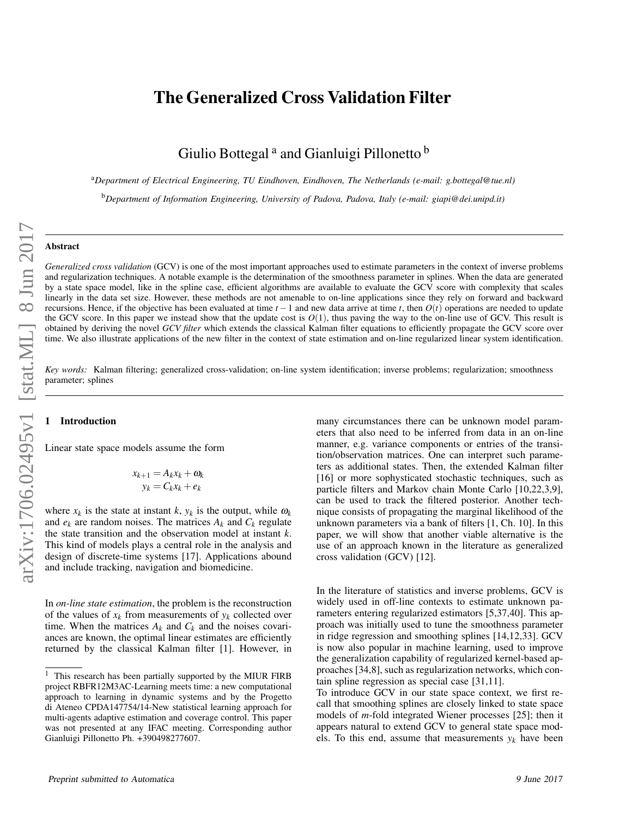# The Generalized Cross Validation Filter

Giulio Bottegal<sup>a</sup> and Gianluigi Pillonetto <sup>b</sup>

<sup>a</sup>*Department of Electrical Engineering, TU Eindhoven, Eindhoven, The Netherlands (e-mail: g.bottegal@tue.nl)*

<sup>b</sup>*Department of Information Engineering, University of Padova, Padova, Italy (e-mail: giapi@dei.unipd.it)*

### Abstract

*Generalized cross validation* (GCV) is one of the most important approaches used to estimate parameters in the context of inverse problems and regularization techniques. A notable example is the determination of the smoothness parameter in splines. When the data are generated by a state space model, like in the spline case, efficient algorithms are available to evaluate the GCV score with complexity that scales linearly in the data set size. However, these methods are not amenable to on-line applications since they rely on forward and backward recursions. Hence, if the objective has been evaluated at time  $t - 1$  and new data arrive at time  $t$ , then  $O(t)$  operations are needed to update the GCV score. In this paper we instead show that the update cost is  $O(1)$ , thus paving the way to the on-line use of GCV. This result is obtained by deriving the novel *GCV filter* which extends the classical Kalman filter equations to efficiently propagate the GCV score over time. We also illustrate applications of the new filter in the context of state estimation and on-line regularized linear system identification.

*Key words:* Kalman filtering; generalized cross-validation; on-line system identification; inverse problems; regularization; smoothness parameter; splines

#### **Introduction**

Linear state space models assume the form

$$
x_{k+1} = A_k x_k + \omega_k
$$
  

$$
y_k = C_k x_k + e_k
$$

where  $x_k$  is the state at instant  $k$ ,  $y_k$  is the output, while  $\omega_k$ and  $e_k$  are random noises. The matrices  $A_k$  and  $C_k$  regulate the state transition and the observation model at instant *k*. This kind of models plays a central role in the analysis and design of discrete-time systems [17]. Applications abound and include tracking, navigation and biomedicine.

In *on-line state estimation*, the problem is the reconstruction of the values of  $x_k$  from measurements of  $y_k$  collected over time. When the matrices  $A_k$  and  $C_k$  and the noises covariances are known, the optimal linear estimates are efficiently returned by the classical Kalman filter [1]. However, in many circumstances there can be unknown model parameters that also need to be inferred from data in an on-line manner, e.g. variance components or entries of the transition/observation matrices. One can interpret such parameters as additional states. Then, the extended Kalman filter [16] or more sophysticated stochastic techniques, such as particle filters and Markov chain Monte Carlo [10,22,3,9], can be used to track the filtered posterior. Another technique consists of propagating the marginal likelihood of the unknown parameters via a bank of filters [1, Ch. 10]. In this paper, we will show that another viable alternative is the use of an approach known in the literature as generalized cross validation (GCV) [12].

In the literature of statistics and inverse problems, GCV is widely used in off-line contexts to estimate unknown parameters entering regularized estimators [5,37,40]. This approach was initially used to tune the smoothness parameter in ridge regression and smoothing splines [14,12,33]. GCV is now also popular in machine learning, used to improve the generalization capability of regularized kernel-based approaches [34,8], such as regularization networks, which contain spline regression as special case [31,11].

To introduce GCV in our state space context, we first recall that smoothing splines are closely linked to state space models of *m*-fold integrated Wiener processes [25]; then it appears natural to extend GCV to general state space models. To this end, assume that measurements  $y_k$  have been

<sup>&</sup>lt;sup>1</sup> This research has been partially supported by the MIUR FIRB project RBFR12M3AC-Learning meets time: a new computational approach to learning in dynamic systems and by the Progetto di Ateneo CPDA147754/14-New statistical learning approach for multi-agents adaptive estimation and coverage control. This paper was not presented at any IFAC meeting. Corresponding author Gianluigi Pillonetto Ph. +390498277607.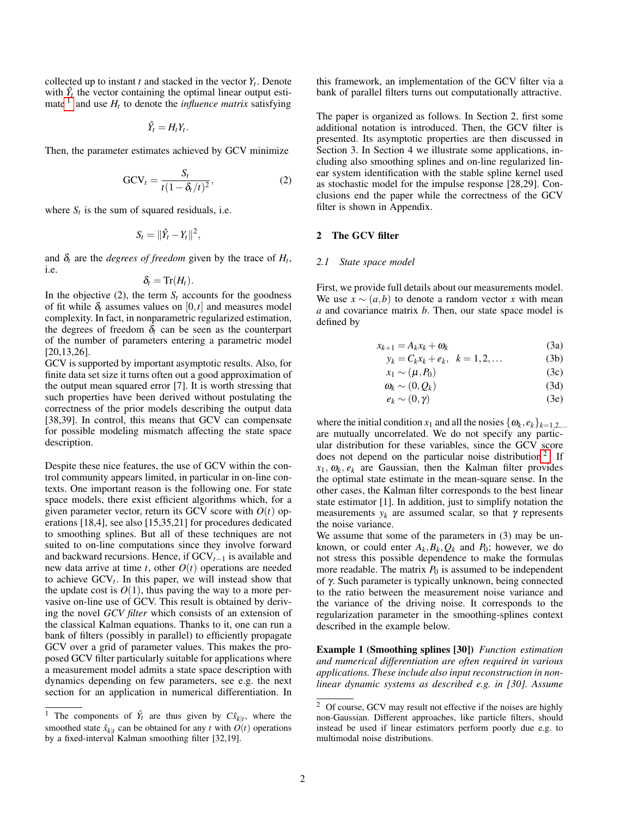collected up to instant  $t$  and stacked in the vector  $Y_t$ . Denote with  $\hat{Y}_t$  the vector containing the optimal linear output esti-mate <sup>[1](#page-1-0)</sup> and use  $H_t$  to denote the *influence matrix* satisfying

$$
\hat{Y}_t = H_t Y_t.
$$

Then, the parameter estimates achieved by GCV minimize

$$
GCV_t = \frac{S_t}{t(1 - \delta_t/t)^2},
$$
\n(2)

where  $S_t$  is the sum of squared residuals, i.e.

$$
S_t = \|\hat{Y}_t - Y_t\|^2,
$$

and  $\delta_t$  are the *degrees of freedom* given by the trace of  $H_t$ , i.e.

$$
\delta_t=\mathrm{Tr}(H_t).
$$

In the objective (2), the term  $S_t$  accounts for the goodness of fit while  $\delta_t$  assumes values on  $[0, t]$  and measures model complexity. In fact, in nonparametric regularized estimation, the degrees of freedom  $\delta_t$  can be seen as the counterpart of the number of parameters entering a parametric model [20,13,26].

GCV is supported by important asymptotic results. Also, for finite data set size it turns often out a good approximation of the output mean squared error [7]. It is worth stressing that such properties have been derived without postulating the correctness of the prior models describing the output data [38,39]. In control, this means that GCV can compensate for possible modeling mismatch affecting the state space description.

Despite these nice features, the use of GCV within the control community appears limited, in particular in on-line contexts. One important reason is the following one. For state space models, there exist efficient algorithms which, for a given parameter vector, return its GCV score with  $O(t)$  operations [18,4], see also [15,35,21] for procedures dedicated to smoothing splines. But all of these techniques are not suited to on-line computations since they involve forward and backward recursions. Hence, if GCV*t*−<sup>1</sup> is available and new data arrive at time  $t$ , other  $O(t)$  operations are needed to achieve  $GCV_t$ . In this paper, we will instead show that the update cost is  $O(1)$ , thus paving the way to a more pervasive on-line use of GCV. This result is obtained by deriving the novel *GCV filter* which consists of an extension of the classical Kalman equations. Thanks to it, one can run a bank of filters (possibly in parallel) to efficiently propagate GCV over a grid of parameter values. This makes the proposed GCV filter particularly suitable for applications where a measurement model admits a state space description with dynamics depending on few parameters, see e.g. the next section for an application in numerical differentiation. In

this framework, an implementation of the GCV filter via a bank of parallel filters turns out computationally attractive.

The paper is organized as follows. In Section 2, first some additional notation is introduced. Then, the GCV filter is presented. Its asymptotic properties are then discussed in Section 3. In Section 4 we illustrate some applications, including also smoothing splines and on-line regularized linear system identification with the stable spline kernel used as stochastic model for the impulse response [28,29]. Conclusions end the paper while the correctness of the GCV filter is shown in Appendix.

#### 2 The GCV filter

#### *2.1 State space model*

First, we provide full details about our measurements model. We use  $x \sim (a, b)$  to denote a random vector *x* with mean *a* and covariance matrix *b*. Then, our state space model is defined by

$$
x_{k+1} = A_k x_k + \omega_k \tag{3a}
$$

$$
y_k = C_k x_k + e_k, \quad k = 1, 2, \dots \tag{3b}
$$

$$
x_1 \sim (\mu, P_0) \tag{3c}
$$

$$
\omega_k \sim (0, Q_k) \tag{3d}
$$

$$
e_k \sim (0, \gamma) \tag{3e}
$$

where the initial condition  $x_1$  and all the nosies  $\{\boldsymbol{\omega}_k, \boldsymbol{e}_k\}_{k=1,2,...}$ are mutually uncorrelated. We do not specify any particular distribution for these variables, since the GCV score does not depend on the particular noise distribution<sup>[2](#page-1-1)</sup>. If  $x_1, \omega_k, e_k$  are Gaussian, then the Kalman filter provides the optimal state estimate in the mean-square sense. In the other cases, the Kalman filter corresponds to the best linear state estimator [1]. In addition, just to simplify notation the measurements  $y_k$  are assumed scalar, so that  $\gamma$  represents the noise variance.

We assume that some of the parameters in (3) may be unknown, or could enter  $A_k$ ,  $B_k$ ,  $Q_k$  and  $P_0$ ; however, we do not stress this possible dependence to make the formulas more readable. The matrix  $P_0$  is assumed to be independent of γ. Such parameter is typically unknown, being connected to the ratio between the measurement noise variance and the variance of the driving noise. It corresponds to the regularization parameter in the smoothing-splines context described in the example below.

Example 1 (Smoothing splines [30]) *Function estimation and numerical differentiation are often required in various applications. These include also input reconstruction in nonlinear dynamic systems as described e.g. in [30]. Assume*

<span id="page-1-0"></span><sup>&</sup>lt;sup>1</sup> The components of  $\hat{Y}_t$  are thus given by  $C\hat{x}_{k|t}$ , where the smoothed state  $\hat{x}_{k|t}$  can be obtained for any *t* with  $O(t)$  operations by a fixed-interval Kalman smoothing filter [32,19].

<span id="page-1-1"></span><sup>&</sup>lt;sup>2</sup> Of course, GCV may result not effective if the noises are highly non-Gaussian. Different approaches, like particle filters, should instead be used if linear estimators perform poorly due e.g. to multimodal noise distributions.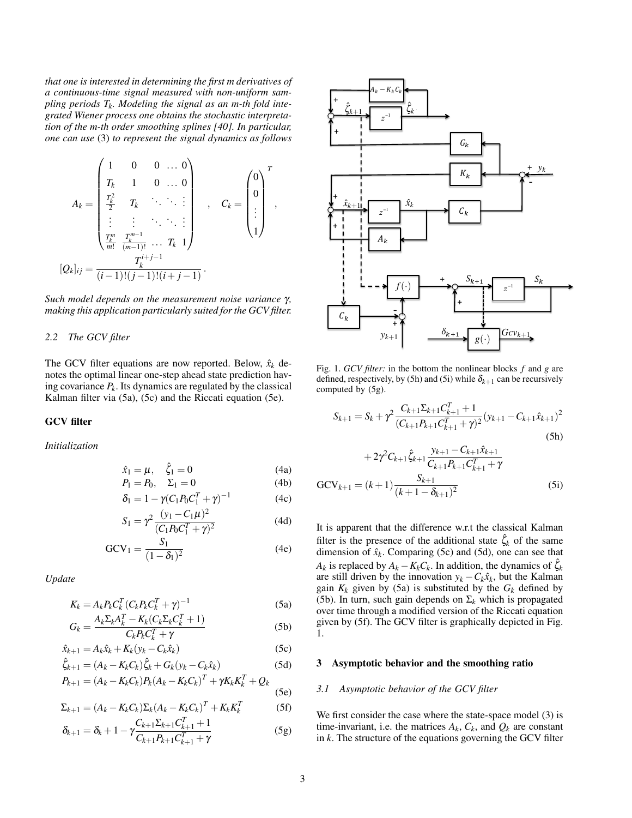*that one is interested in determining the first m derivatives of Ht*, i.e. *a* continuous-time signal measured with non-uniform sam $p$ ling periods  $T_k$ . Modeling the signal as an m-th fold inteplute periods  $T_k$ . Modeling the signal as an *n*-in joid the set of  $\frac{\zeta_{k+1}}{2}$ *tion of the m-th order smoothing splines [40]. In particular, one can use* (3) *to represent the signal dynamics as follows*  $\frac{1}{2}$  modifier spaces  $\left[\begin{array}{ccc} 1 & \cdots & 1 \\ 1 & \cdots & 1 \end{array}\right]$  in  $\left[\begin{array}{cc} 1 & \cdots & 1 \\ 1 & \cdots & 1 \end{array}\right]$ 

$$
A_{k} = \begin{pmatrix} 1 & 0 & 0 & \dots & 0 \\ T_{k} & 1 & 0 & \dots & 0 \\ \frac{T_{k}^{2}}{2} & T_{k} & \ddots & \ddots & \vdots \\ \vdots & \vdots & \ddots & \ddots & \vdots \\ \frac{T_{k}^{m}}{m!} & \frac{T_{k}^{m-1}}{(m-1)!} & \dots & T_{k} & 1 \end{pmatrix}, \qquad C_{k} = \begin{pmatrix} 0 \\ 0 \\ \vdots \\ 1 \end{pmatrix}^{T}, \qquad \begin{pmatrix} 1 \\ 1 \\ \vdots \\ 1 \end{pmatrix}
$$

Such model depends on the measurement noise variance  $\gamma$ ,  $\frac{1}{\sqrt{2}}$ making this application particularly suited for the GCV filter.

#### *2.2 The GCV filter*

The GCV filter equations are now reported. Below,  $\hat{x}_k$  de-<br>Fig. 1 *GCV* filter notes the optimal linear one-step ahead state prediction hav-<br>defined respectively ing covariance  $P_k$ . Its dynamics are regulated by the classical computed by  $(5g)$ . Kalman filter via  $(5a)$ ,  $(5c)$  and the Riccati equation  $(5e)$ .

#### GCV filter

*Initialization*

$$
\hat{x}_1 = \mu, \quad \hat{\xi}_1 = 0
$$
 (4a)  
\n $P_1 = P_0, \quad \Sigma_1 = 0$  (4b)  $GCV_{k+1} = (k+1)C$ 

$$
F_1 = F_0, \quad \Sigma_1 = 0 \tag{40} \qquad \qquad \text{GCV}_{k+1} = (k+1) \frac{1}{(k+1 - \delta_{k+1})^2}
$$
\n
$$
\delta_1 = 1 - \gamma (C_1 P_0 C_1^T + \gamma)^{-1} \tag{4c}
$$

$$
S_1 = \gamma^2 \frac{(y_1 - C_1 \mu)^2}{(C_1 P_0 C_1^T + \gamma)^2}
$$
 (4d) It is apparent

$$
GCV1 = \frac{S1}{(1 - \delta1)2}
$$
 (4e)

*Update*

$$
K_k = A_k P_k C_k^T (C_k P_k C_k^T + \gamma)^{-1}
$$
\n
$$
A_k \sum_{k} A_k^T = K_k (C_k \sum_{k} C_k^T + 1)
$$
\n(5a)

$$
G_k = \frac{A_k \Sigma_k A_k^T - K_k (C_k \Sigma_k C_k^T + 1)}{C_k P_k C_k^T + \gamma}
$$
\n(5b)

$$
\hat{x}_{k+1} = A_k \hat{x}_k + K_k (y_k - C_k \hat{x}_k)
$$
\n(5c)

$$
\hat{\zeta}_{k+1} = (A_k - K_k C_k) \hat{\zeta}_k + G_k (y_k - C_k \hat{x}_k)
$$
\n(5d)  
\n
$$
P_{k+1} = (A_k - K_k C_k) P_k (A_k - K_k C_k)^T + \gamma K_k K_k^T + Q_k
$$

$$
P_{k+1} = (A_k - K_k C_k) P_k (A_k - K_k C_k)^T + \gamma K_k K_k^T + Q_k
$$
\n(5e)

$$
\Sigma_{k+1} = (A_k - K_k C_k) \Sigma_k (A_k - K_k C_k)^T + K_k K_k^T
$$
 (5f)

$$
\delta_{k+1} = \delta_k + 1 - \gamma \frac{C_{k+1} \Sigma_{k+1} C_{k+1}^T + 1}{C_{k+1} P_{k+1} C_{k+1}^T + \gamma}
$$
(5g)



Fig. 1. OC*v* fact. In the bottom the noninear blocks f and g are<br>defined respectively by (5h) and (5i) while  $\delta_{k+1}$  can be recursively on nav-<br>
defined, respectively, by (5h) and (5i) while  $\delta_{k+1}$  can be recursively<br>
(5e).  $\frac{1}{1}$  can be recursively state prediction hav-<br>defined, respectively, by (5h) and (5i) while  $\delta_{k+1}$  can be recursively<br>ated by the classical computed by (5g). computed by (5g).

$$
S_{k+1} = S_k + \gamma^2 \frac{C_{k+1} \Sigma_{k+1} C_{k+1}^T + 1}{(C_{k+1} P_{k+1} C_{k+1}^T + \gamma)^2} (y_{k+1} - C_{k+1} \hat{x}_{k+1})^2
$$
\n(5h)

(4a)  
\n
$$
+2\gamma^{2}C_{k+1}\hat{\zeta}_{k+1}\frac{y_{k+1}-C_{k+1}\hat{x}_{k+1}}{C_{k+1}P_{k+1}C_{k+1}^{T}+\gamma}
$$
\n(4b)  
\n
$$
GCV_{k+1} = (k+1)\frac{S_{k+1}}{(k+1-\delta_{k+1})^{2}}
$$
\n(5i)

 $(S_1 F_0 C_1^T + \gamma)^2$ <br>  $= \frac{S_1}{S_1}$  (4e) (4e) (4e) (4e) (4e) (4e)  $A_k$  is replaced by  $A_k - K_k C_k$ . In addition, the dynamics of  $\hat{\zeta}_k$  $\frac{1}{2}$  and *K<sub>k</sub>* given by (5a) is substituted by the *G<sub>k</sub>* defined by  $\frac{1}{2}$  (5b). In turn cub gain depends on  $\sum$  which is proposated over time through a modified version of the Riccati equation<br>given by  $(5f)$ . The GCV filter is graphically depicted in Fig. given by (5f). The GCV filter is graphically depicted in Fig. column vectors containing the states, the states, the outputs and the outputs and the outputs and the outputs and the outputs and the outputs and the outputs and the outputs and the outputs and the outputs and the outputs parent that the difference  $=\frac{S_1}{(1-\delta_1)^2}$  (4e) the measure of the additional state  $\zeta_k$  of the same<br>dimension of  $\hat{x}_k$ . Comparing (5c) and (5d), one can see that by time in ough a modified version of the Kicean equation<br>given by (5f). The GCV filter is graphically depicted in Fig.<br>1. to zero, i.e. µ = 0. We also use *Xt*,*Yt* and *Et* to denote the <sup>2</sup> It is apparent that the difference w.r.t the classical Kalma are still driven by the innovation  $y_k - C_k \hat{x}_k$ , but the Kalman (5b). In turn, such gain depends on  $\Sigma_k$  which is propagated  $\frac{1}{1}$  $\frac{1}{2}$  is obtained from the following equalities equalities equalities equalities equalities equalities of  $\frac{1}{2}$ = gTr(*V* <sup>1</sup> <sup>=</sup> Tr(*It HtStH<sup>T</sup>* = *t Do ft*, (13) <sup>2</sup> <sup>2</sup> <sup>(4d)</sup> It is apparent that the difference w.r.t the classical Kalman <sup>2</sup> It is apparent that the difference w.r.t the classical Kalman  $\Omega$   $\mathbb{R}^n$ 1.

## $(5d)$  3 Asymptotic behavior and the smoothing ratio (5d) 3 Asymptotic behavior and the smoothing ratio

#### *E E z i decv fi* ... where  $\frac{1}{2}$ *X*  $3.1$  A 3.1 Asymptotic behavior of the GCV filter Then, it holds that

We first consider the case where the state-space model  $(3)$  is in k. The structure of the equations governing the GCV filter *i*  $\Omega_k$  =  $\Omega_k$  are constant  $\Omega_k$  is the matrices *A<sub>k</sub>*, *C<sub>k</sub>*, and  $Q_k$  are constant We first consider the case where the state-space model (3) is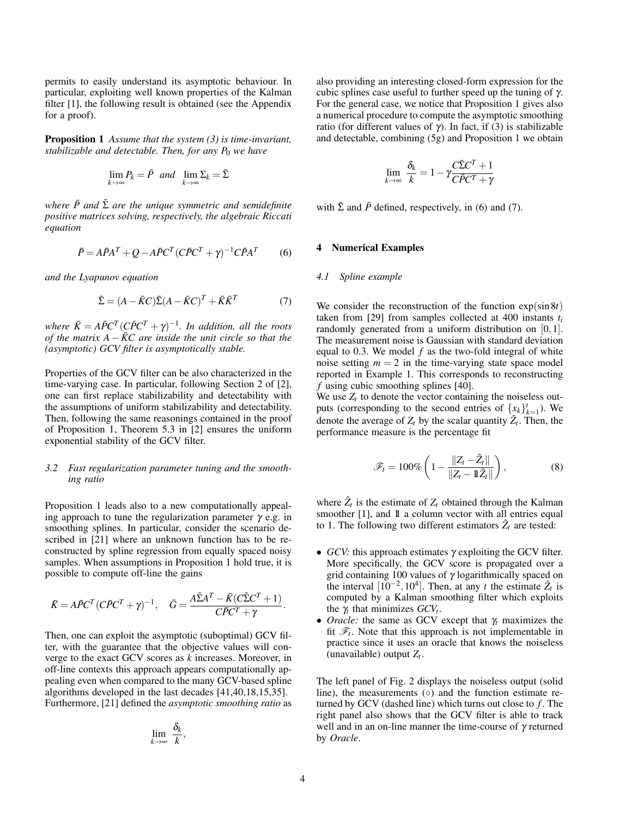permits to easily understand its asymptotic behaviour. In particular, exploiting well known properties of the Kalman filter [1], the following result is obtained (see the Appendix for a proof).

Proposition 1 *Assume that the system (3) is time-invariant, stabilizable and detectable. Then, for any P<sub>0</sub> we have* 

$$
\lim_{k \to \infty} P_k = \bar{P} \quad and \quad \lim_{k \to \infty} \Sigma_k = \bar{\Sigma}
$$

*where*  $\bar{P}$  *and*  $\bar{\Sigma}$  *are the unique symmetric and semidefinite positive matrices solving, respectively, the algebraic Riccati equation*

$$
\bar{P} = A\bar{P}A^{T} + Q - A\bar{P}C^{T}(C\bar{P}C^{T} + \gamma)^{-1}C\bar{P}A^{T}
$$
 (6)

*and the Lyapunov equation*

$$
\bar{\Sigma} = (A - \bar{K}C)\bar{\Sigma}(A - \bar{K}C)^{T} + \bar{K}\bar{K}^{T}
$$
 (7)

*where*  $\bar{K} = A\bar{P}C^{T}(C\bar{P}C^{T} + \gamma)^{-1}$ *. In addition, all the roots of the matrix A*  $-\bar{K}C$  *are inside the unit circle so that the (asymptotic) GCV filter is asymptotically stable.*

Properties of the GCV filter can be also characterized in the time-varying case. In particular, following Section 2 of [2], one can first replace stabilizability and detectability with the assumptions of uniform stabilizability and detectability. Then, following the same reasonings contained in the proof of Proposition 1, Theorem 5.3 in [2] ensures the uniform exponential stability of the GCV filter.

#### *3.2 Fast regularization parameter tuning and the smoothing ratio*

Proposition 1 leads also to a new computationally appealing approach to tune the regularization parameter  $\gamma$  e.g. in smoothing splines. In particular, consider the scenario described in [21] where an unknown function has to be reconstructed by spline regression from equally spaced noisy samples. When assumptions in Proposition 1 hold true, it is possible to compute off-line the gains

$$
\bar{K} = A\bar{P}C^{T}(C\bar{P}C^{T} + \gamma)^{-1}, \quad \bar{G} = \frac{A\bar{\Sigma}A^{T} - \bar{K}(C\bar{\Sigma}C^{T} + 1)}{C\bar{P}C^{T} + \gamma}
$$

Then, one can exploit the asymptotic (suboptimal) GCV filter, with the guarantee that the objective values will converge to the exact GCV scores as *k* increases. Moreover, in off-line contexts this approach appears computationally appealing even when compared to the many GCV-based spline algorithms developed in the last decades [41,40,18,15,35]. Furthermore, [21] defined the *asymptotic smoothing ratio* as

$$
\lim_{k\to\infty}\frac{\delta_k}{k},
$$

also providing an interesting closed-form expression for the cubic splines case useful to further speed up the tuning of  $\gamma$ . For the general case, we notice that Proposition 1 gives also a numerical procedure to compute the asymptotic smoothing ratio (for different values of γ). In fact, if (3) is stabilizable and detectable, combining (5g) and Proposition 1 we obtain

$$
\lim_{k \to \infty} \frac{\delta_k}{k} = 1 - \gamma \frac{C\bar{\Sigma}C^T + 1}{C\bar{P}C^T + \gamma}
$$

with  $\bar{\Sigma}$  and  $\bar{P}$  defined, respectively, in (6) and (7).

#### **Numerical Examples**

#### *4.1 Spline example*

We consider the reconstruction of the function exp(sin8*t*) taken from [29] from samples collected at 400 instants  $t_i$ randomly generated from a uniform distribution on [0,1]. The measurement noise is Gaussian with standard deviation equal to 0.3. We model *f* as the two-fold integral of white noise setting  $m = 2$  in the time-varying state space model reported in Example 1. This corresponds to reconstructing *f* using cubic smoothing splines [40].

We use  $Z_t$  to denote the vector containing the noiseless outputs (corresponding to the second entries of  $\{x_k\}_{k=1}^t$ ). We denote the average of  $Z_t$  by the scalar quantity  $\bar{Z}_t$ . Then, the performance measure is the percentage fit

$$
\mathscr{F}_t = 100\% \left( 1 - \frac{\|Z_t - \hat{Z}_t\|}{\|Z_t - \mathbb{1}\bar{Z}_t\|} \right),\tag{8}
$$

where  $\hat{Z}_t$  is the estimate of  $Z_t$  obtained through the Kalman smoother [1], and  $1\!\!1$  a column vector with all entries equal to 1. The following two different estimators  $\hat{Z}_t$  are tested:

- *GCV:* this approach estimates γ exploiting the GCV filter. More specifically, the GCV score is propagated over a grid containing 100 values of  $\gamma$  logarithmically spaced on the interval  $[10^{-2}, 10^4]$ . Then, at any *t* the estimate  $\hat{Z}_t$  is computed by a Kalman smoothing filter which exploits the  $\gamma_t$  that minimizes  $GCV_t$ .
- *Oracle:* the same as GCV except that γ*<sup>t</sup>* maximizes the fit  $\mathcal{F}_t$ . Note that this approach is not implementable in practice since it uses an oracle that knows the noiseless (unavailable) output *Z<sup>t</sup>* .

The left panel of Fig. 2 displays the noiseless output (solid line), the measurements  $(○)$  and the function estimate returned by GCV (dashed line) which turns out close to *f* . The right panel also shows that the GCV filter is able to track well and in an on-line manner the time-course of  $\gamma$  returned by *Oracle*.

.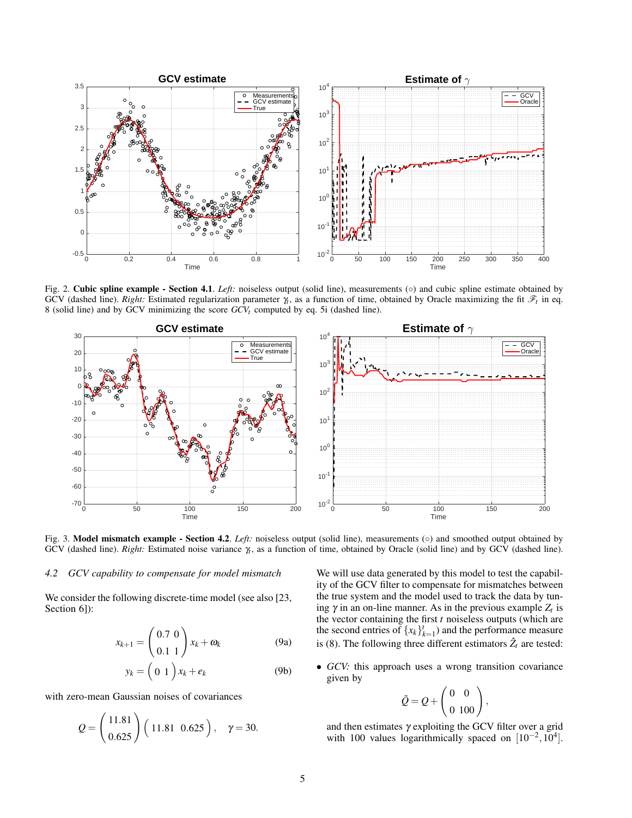

Fig. 2. Cubic spline example - Section 4.1. *Left:* noiseless output (solid line), measurements ( $\circ$ ) and cubic spline estimate obtained by GCV (dashed line). *Right:* Estimated regularization parameter  $\gamma_t$ , as a function of time, obtained by Oracle maximizing the fit  $\mathcal{F}_t$  in eq. 8 (solid line) and by GCV minimizing the score *GCVt* computed by eq. 5i (dashed line).



Fig. 3. Model mismatch example - Section 4.2. *Left:* noiseless output (solid line), measurements ( $\circ$ ) and smoothed output obtained by GCV (dashed line). *Right:* Estimated noise variance γ*t* , as a function of time, obtained by Oracle (solid line) and by GCV (dashed line).

#### *4.2 GCV capability to compensate for model mismatch*

We consider the following discrete-time model (see also [23, Section 6]):

$$
x_{k+1} = \begin{pmatrix} 0.7 & 0 \\ 0.1 & 1 \end{pmatrix} x_k + \omega_k \tag{9a}
$$

$$
y_k = \left(\begin{array}{c} 0 & 1 \end{array}\right) x_k + e_k \tag{9b}
$$

with zero-mean Gaussian noises of covariances

$$
Q = \begin{pmatrix} 11.81 \\ 0.625 \end{pmatrix} \begin{pmatrix} 11.81 & 0.625 \end{pmatrix}, \quad \gamma = 30.
$$

We will use data generated by this model to test the capability of the GCV filter to compensate for mismatches between the true system and the model used to track the data by tuning  $\gamma$  in an on-line manner. As in the previous example  $Z_t$  is the vector containing the first *t* noiseless outputs (which are the second entries of  $\{x_k\}_{k=1}^t$ ) and the performance measure is (8). The following three different estimators  $\hat{Z}_t$  are tested:

• *GCV:* this approach uses a wrong transition covariance given by

$$
\tilde{Q}=Q+\left(\begin{matrix} 0&0\\ 0&100\end{matrix}\right),
$$

and then estimates  $\gamma$  exploiting the GCV filter over a grid with 100 values logarithmically spaced on  $[10^{-2}, 10^{4}]$ .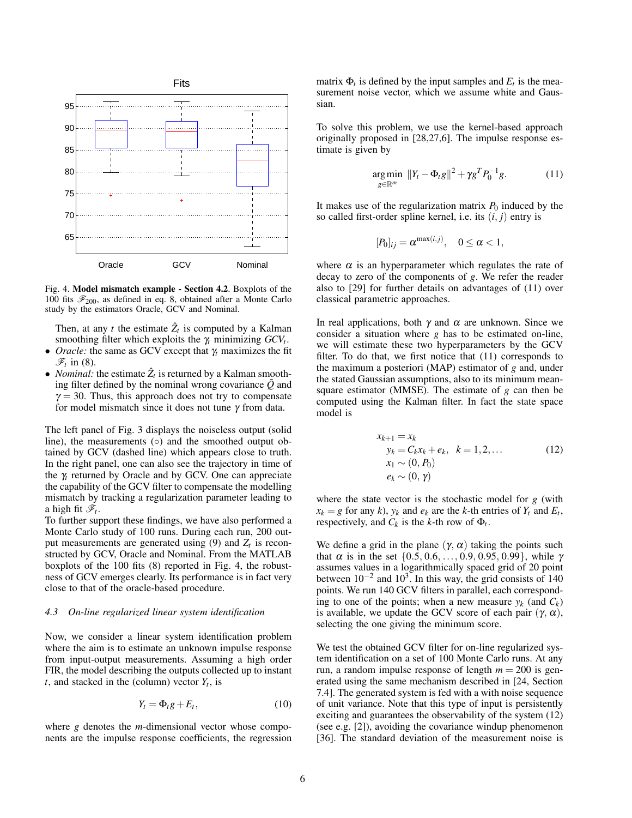

Fig. 4. Model mismatch example - Section 4.2. Boxplots of the 100 fits  $\mathcal{F}_{200}$ , as defined in eq. 8, obtained after a Monte Carlo study by the estimators Oracle, GCV and Nominal.

Then, at any *t* the estimate  $\hat{Z}_t$  is computed by a Kalman smoothing filter which exploits the γ*<sup>t</sup>* minimizing *GCV<sup>t</sup>* .

- *Oracle:* the same as GCV except that  $\gamma_t$  maximizes the fit  $\mathscr{F}_t$  in (8).
- *Nominal:* the estimate  $\hat{Z}_t$  is returned by a Kalman smoothing filter defined by the nominal wrong covariance  $\tilde{Q}$  and  $\gamma = 30$ . Thus, this approach does not try to compensate for model mismatch since it does not tune  $\gamma$  from data.

The left panel of Fig. 3 displays the noiseless output (solid line), the measurements (○) and the smoothed output obtained by GCV (dashed line) which appears close to truth. In the right panel, one can also see the trajectory in time of the γ*<sup>t</sup>* returned by Oracle and by GCV. One can appreciate the capability of the GCV filter to compensate the modelling mismatch by tracking a regularization parameter leading to a high fit  $\mathscr{F}_t$ .

To further support these findings, we have also performed a Monte Carlo study of 100 runs. During each run, 200 output measurements are generated using  $(9)$  and  $Z_t$  is reconstructed by GCV, Oracle and Nominal. From the MATLAB boxplots of the 100 fits (8) reported in Fig. 4, the robustness of GCV emerges clearly. Its performance is in fact very close to that of the oracle-based procedure.

#### *4.3 On-line regularized linear system identification*

Now, we consider a linear system identification problem where the aim is to estimate an unknown impulse response from input-output measurements. Assuming a high order FIR, the model describing the outputs collected up to instant *t*, and stacked in the (column) vector  $Y_t$ , is

$$
Y_t = \Phi_t g + E_t, \tag{10}
$$

where *g* denotes the *m*-dimensional vector whose components are the impulse response coefficients, the regression

matrix  $\Phi_t$  is defined by the input samples and  $E_t$  is the measurement noise vector, which we assume white and Gaussian.

To solve this problem, we use the kernel-based approach originally proposed in [28,27,6]. The impulse response estimate is given by

$$
\underset{g \in \mathbb{R}^m}{\arg \min} \ \ \|Y_t - \Phi_t g\|^2 + \gamma g^T P_0^{-1} g. \tag{11}
$$

It makes use of the regularization matrix  $P_0$  induced by the so called first-order spline kernel, i.e. its  $(i, j)$  entry is

$$
[P_0]_{ij} = \alpha^{\max(i,j)}, \quad 0 \le \alpha < 1,
$$

where  $\alpha$  is an hyperparameter which regulates the rate of decay to zero of the components of *g*. We refer the reader also to [29] for further details on advantages of (11) over classical parametric approaches.

In real applications, both  $\gamma$  and  $\alpha$  are unknown. Since we consider a situation where *g* has to be estimated on-line, we will estimate these two hyperparameters by the GCV filter. To do that, we first notice that (11) corresponds to the maximum a posteriori (MAP) estimator of *g* and, under the stated Gaussian assumptions, also to its minimum meansquare estimator (MMSE). The estimate of *g* can then be computed using the Kalman filter. In fact the state space model is

$$
x_{k+1} = x_k \n y_k = C_k x_k + e_k, \quad k = 1, 2, ... \n x_1 \sim (0, P_0) \n e_k \sim (0, \gamma)
$$
\n(12)

where the state vector is the stochastic model for *g* (with  $x_k = g$  for any *k*),  $y_k$  and  $e_k$  are the *k*-th entries of  $Y_t$  and  $E_t$ , respectively, and  $C_k$  is the *k*-th row of  $\Phi_t$ .

We define a grid in the plane  $(\gamma, \alpha)$  taking the points such that  $\alpha$  is in the set  $\{0.5, 0.6, ..., 0.9, 0.95, 0.99\}$ , while  $\gamma$ assumes values in a logarithmically spaced grid of 20 point between  $10^{-2}$  and  $10^{3}$ . In this way, the grid consists of 140 points. We run 140 GCV filters in parallel, each corresponding to one of the points; when a new measure  $y_k$  (and  $C_k$ ) is available, we update the GCV score of each pair  $(\gamma, \alpha)$ , selecting the one giving the minimum score.

We test the obtained GCV filter for on-line regularized system identification on a set of 100 Monte Carlo runs. At any run, a random impulse response of length  $m = 200$  is generated using the same mechanism described in [24, Section 7.4]. The generated system is fed with a with noise sequence of unit variance. Note that this type of input is persistently exciting and guarantees the observability of the system (12) (see e.g. [2]), avoiding the covariance windup phenomenon [36]. The standard deviation of the measurement noise is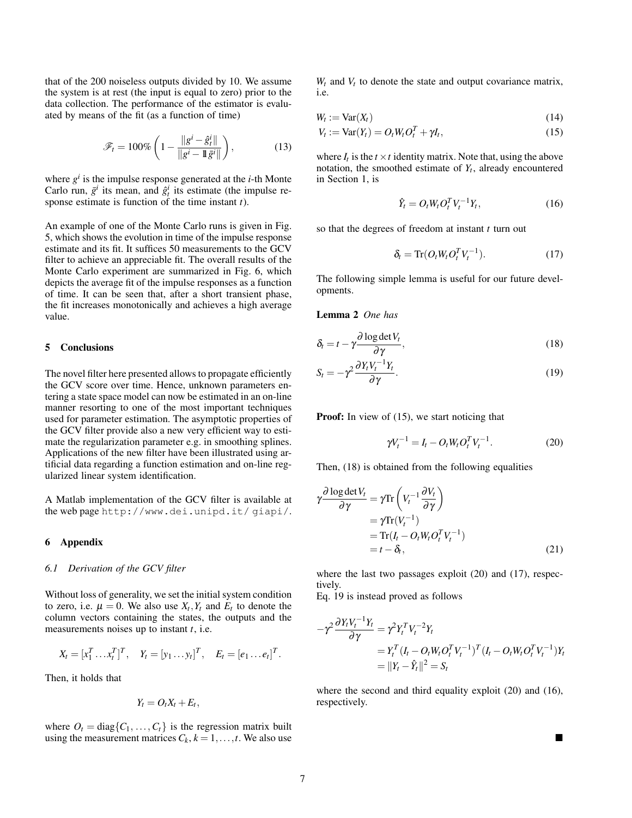that of the 200 noiseless outputs divided by 10. We assume the system is at rest (the input is equal to zero) prior to the data collection. The performance of the estimator is evaluated by means of the fit (as a function of time)

$$
\mathscr{F}_t = 100\% \left( 1 - \frac{\|g^i - \hat{g}_t^i\|}{\|g^i - \mathbb{I}\bar{g}^i\|} \right),\tag{13}
$$

where  $g^i$  is the impulse response generated at the *i*-th Monte Carlo run,  $\bar{g}^i$  its mean, and  $\hat{g}^i_t$  its estimate (the impulse response estimate is function of the time instant *t*).

An example of one of the Monte Carlo runs is given in Fig. 5, which shows the evolution in time of the impulse response estimate and its fit. It suffices 50 measurements to the GCV filter to achieve an appreciable fit. The overall results of the Monte Carlo experiment are summarized in Fig. 6, which depicts the average fit of the impulse responses as a function of time. It can be seen that, after a short transient phase, the fit increases monotonically and achieves a high average value.

#### 5 Conclusions

The novel filter here presented allows to propagate efficiently the GCV score over time. Hence, unknown parameters entering a state space model can now be estimated in an on-line manner resorting to one of the most important techniques used for parameter estimation. The asymptotic properties of the GCV filter provide also a new very efficient way to estimate the regularization parameter e.g. in smoothing splines. Applications of the new filter have been illustrated using artificial data regarding a function estimation and on-line regularized linear system identification.

A Matlab implementation of the GCV filter is available at the web page http://www.dei.unipd.it/ giapi/.

#### 6 Appendix

#### *6.1 Derivation of the GCV filter*

Without loss of generality, we set the initial system condition to zero, i.e.  $\mu = 0$ . We also use  $X_t, Y_t$  and  $E_t$  to denote the column vectors containing the states, the outputs and the measurements noises up to instant *t*, i.e.

$$
X_t = [x_1^T \dots x_t^T]^T
$$
,  $Y_t = [y_1 \dots y_t]^T$ ,  $E_t = [e_1 \dots e_t]^T$ .

Then, it holds that

$$
Y_t = O_t X_t + E_t,
$$

where  $O_t = \text{diag}\{C_1, \ldots, C_t\}$  is the regression matrix built using the measurement matrices  $C_k$ ,  $k = 1, \ldots, t$ . We also use

 $W_t$  and  $V_t$  to denote the state and output covariance matrix, i.e.

$$
W_t := \text{Var}(X_t) \tag{14}
$$

$$
V_t := \text{Var}(Y_t) = O_t W_t O_t^T + \gamma I_t,\tag{15}
$$

where  $I_t$  is the  $t \times t$  identity matrix. Note that, using the above notation, the smoothed estimate of  $Y_t$ , already encountered in Section 1, is

$$
\hat{Y}_t = O_t W_t O_t^T V_t^{-1} Y_t,\tag{16}
$$

so that the degrees of freedom at instant *t* turn out

$$
\delta_t = \text{Tr}(O_t W_t O_t^T V_t^{-1}). \tag{17}
$$

The following simple lemma is useful for our future developments.

Lemma 2 *One has*

$$
\delta_t = t - \gamma \frac{\partial \log \det V_t}{\partial \gamma},\tag{18}
$$

$$
S_t = -\gamma^2 \frac{\partial Y_t V_t^{-1} Y_t}{\partial \gamma}.
$$
\n(19)

**Proof:** In view of (15), we start noticing that

$$
\gamma V_t^{-1} = I_t - O_t W_t O_t^T V_t^{-1}.
$$
\n(20)

Then, (18) is obtained from the following equalities

$$
\gamma \frac{\partial \log \det V_t}{\partial \gamma} = \gamma \text{Tr} \left( V_t^{-1} \frac{\partial V_t}{\partial \gamma} \right)
$$
  
=  $\gamma \text{Tr}(V_t^{-1})$   
=  $\text{Tr}(I_t - O_t W_t O_t^T V_t^{-1})$   
=  $t - \delta_t$ , (21)

where the last two passages exploit (20) and (17), respectively.

Eq. 19 is instead proved as follows

$$
-\gamma^2 \frac{\partial Y_t V_t^{-1} Y_t}{\partial \gamma} = \gamma^2 Y_t^T V_t^{-2} Y_t
$$
  
=  $Y_t^T (I_t - O_t W_t O_t^T V_t^{-1})^T (I_t - O_t W_t O_t^T V_t^{-1}) Y_t$   
=  $||Y_t - \hat{Y}_t||^2 = S_t$ 

where the second and third equality exploit (20) and (16), respectively.

 $\blacksquare$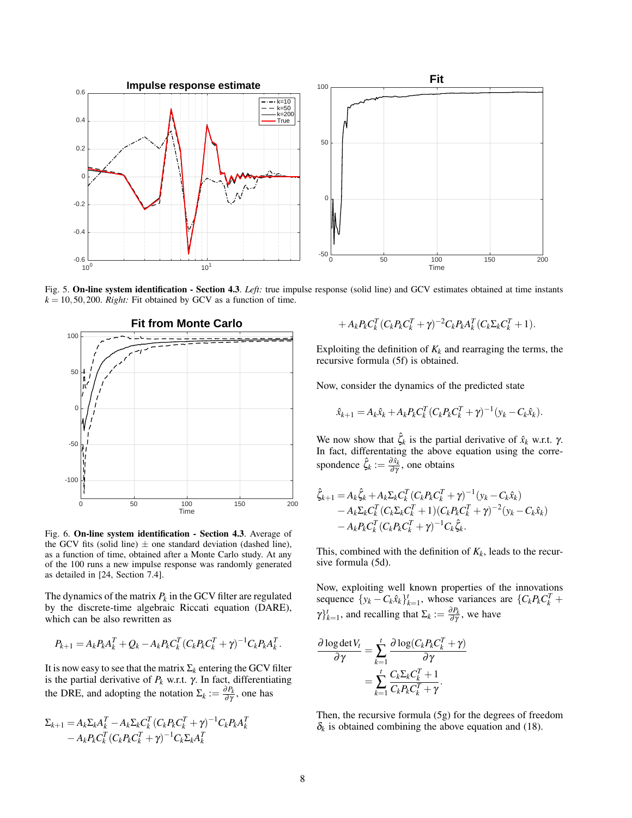

Fig. 5. On-line system identification - Section 4.3. *Left:* true impulse response (solid line) and GCV estimates obtained at time instants  $k = 10, 50, 200$ . *Right:* Fit obtained by GCV as a function of time.



Fig. 6. On-line system identification - Section 4.3. Average of the GCV fits (solid line)  $\pm$  one standard deviation (dashed line), as a function of time, obtained after a Monte Carlo study. At any of the 100 runs a new impulse response was randomly generated as detailed in [24, Section 7.4].

The dynamics of the matrix  $P_k$  in the GCV filter are regulated by the discrete-time algebraic Riccati equation (DARE), which can be also rewritten as

$$
P_{k+1} = A_k P_k A_k^T + Q_k - A_k P_k C_k^T (C_k P_k C_k^T + \gamma)^{-1} C_k P_k A_k^T.
$$

It is now easy to see that the matrix  $\Sigma_k$  entering the GCV filter is the partial derivative of  $P_k$  w.r.t.  $\gamma$ . In fact, differentiating the DRE, and adopting the notation  $\Sigma_k := \frac{\partial P_k}{\partial \gamma}$ , one has

$$
\Sigma_{k+1} = A_k \Sigma_k A_k^T - A_k \Sigma_k C_k^T (C_k P_k C_k^T + \gamma)^{-1} C_k P_k A_k^T - A_k P_k C_k^T (C_k P_k C_k^T + \gamma)^{-1} C_k \Sigma_k A_k^T
$$

$$
+ A_k P_k C_k^T (C_k P_k C_k^T + \gamma)^{-2} C_k P_k A_k^T (C_k \Sigma_k C_k^T + 1).
$$

Exploiting the definition of  $K_k$  and rearraging the terms, the recursive formula (5f) is obtained.

Now, consider the dynamics of the predicted state

$$
\hat{x}_{k+1} = A_k \hat{x}_k + A_k P_k C_k^T (C_k P_k C_k^T + \gamma)^{-1} (y_k - C_k \hat{x}_k).
$$

We now show that  $\hat{\zeta}_k$  is the partial derivative of  $\hat{x}_k$  w.r.t.  $\gamma$ . In fact, differentating the above equation using the correspondence  $\hat{\zeta}_k := \frac{\partial \hat{x}_k}{\partial \gamma}$ , one obtains

$$
\hat{\zeta}_{k+1} = A_k \hat{\zeta}_k + A_k \Sigma_k C_k^T (C_k P_k C_k^T + \gamma)^{-1} (y_k - C_k \hat{x}_k) \n- A_k \Sigma_k C_k^T (C_k \Sigma_k C_k^T + 1) (C_k P_k C_k^T + \gamma)^{-2} (y_k - C_k \hat{x}_k) \n- A_k P_k C_k^T (C_k P_k C_k^T + \gamma)^{-1} C_k \hat{\zeta}_k.
$$

This, combined with the definition of  $K_k$ , leads to the recursive formula (5d).

Now, exploiting well known properties of the innovations sequence  $\{y_k - C_k \hat{x}_k\}_{k=1}^t$ , whose variances are  $\{C_k P_k C_k^T + C_k P_k C_k^T\}$  $\gamma_{k=1}^{t}$ , and recalling that  $\Sigma_{k} := \frac{\partial P_{k}}{\partial \gamma}$ , we have

$$
\frac{\partial \log \det V_t}{\partial \gamma} = \sum_{k=1}^t \frac{\partial \log (C_k P_k C_k^T + \gamma)}{\partial \gamma} \n= \sum_{k=1}^t \frac{C_k \Sigma_k C_k^T + 1}{C_k P_k C_k^T + \gamma}.
$$

Then, the recursive formula (5g) for the degrees of freedom  $\delta_k$  is obtained combining the above equation and (18).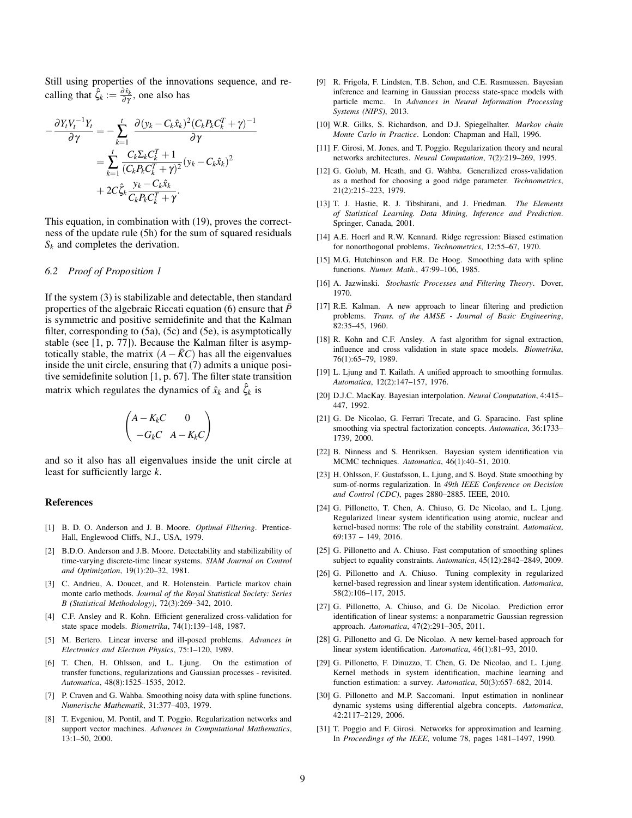Still using properties of the innovations sequence, and recalling that  $\hat{\zeta}_k := \frac{\partial \hat{x}_k}{\partial \gamma}$ , one also has

$$
-\frac{\partial Y_t V_t^{-1}Y_t}{\partial \gamma} = -\sum_{k=1}^t \frac{\partial (y_k - C_k \hat{x}_k)^2 (C_k P_k C_k^T + \gamma)^{-1}}{\partial \gamma} \n= \sum_{k=1}^t \frac{C_k \Sigma_k C_k^T + 1}{(C_k P_k C_k^T + \gamma)^2} (y_k - C_k \hat{x}_k)^2 \n+ 2C \hat{\zeta}_k \frac{y_k - C_k \hat{x}_k}{C_k P_k C_k^T + \gamma}.
$$

This equation, in combination with (19), proves the correctness of the update rule (5h) for the sum of squared residuals *S<sup>k</sup>* and completes the derivation.

#### *6.2 Proof of Proposition 1*

If the system (3) is stabilizable and detectable, then standard properties of the algebraic Riccati equation (6) ensure that  $\bar{P}$ is symmetric and positive semidefinite and that the Kalman filter, corresponding to (5a), (5c) and (5e), is asymptotically stable (see [1, p. 77]). Because the Kalman filter is asymptotically stable, the matrix  $(A - \overline{K}C)$  has all the eigenvalues inside the unit circle, ensuring that (7) admits a unique positive semidefinite solution [1, p. 67]. The filter state transition matrix which regulates the dynamics of  $\hat{x}_k$  and  $\hat{\zeta}_k$  is

$$
\begin{pmatrix} A-K_kC & 0 \cr -G_kC & A-K_kC\end{pmatrix}
$$

and so it also has all eigenvalues inside the unit circle at least for sufficiently large *k*.

#### References

- [1] B. D. O. Anderson and J. B. Moore. *Optimal Filtering*. Prentice-Hall, Englewood Cliffs, N.J., USA, 1979.
- [2] B.D.O. Anderson and J.B. Moore. Detectability and stabilizability of time-varying discrete-time linear systems. *SIAM Journal on Control and Optimization*, 19(1):20–32, 1981.
- [3] C. Andrieu, A. Doucet, and R. Holenstein. Particle markov chain monte carlo methods. *Journal of the Royal Statistical Society: Series B (Statistical Methodology)*, 72(3):269–342, 2010.
- [4] C.F. Ansley and R. Kohn. Efficient generalized cross-validation for state space models. *Biometrika*, 74(1):139–148, 1987.
- [5] M. Bertero. Linear inverse and ill-posed problems. *Advances in Electronics and Electron Physics*, 75:1–120, 1989.
- [6] T. Chen, H. Ohlsson, and L. Ljung. On the estimation of transfer functions, regularizations and Gaussian processes - revisited. *Automatica*, 48(8):1525–1535, 2012.
- [7] P. Craven and G. Wahba. Smoothing noisy data with spline functions. *Numerische Mathematik*, 31:377–403, 1979.
- [8] T. Evgeniou, M. Pontil, and T. Poggio. Regularization networks and support vector machines. *Advances in Computational Mathematics*, 13:1–50, 2000.
- [9] R. Frigola, F. Lindsten, T.B. Schon, and C.E. Rasmussen. Bayesian inference and learning in Gaussian process state-space models with particle mcmc. In *Advances in Neural Information Processing Systems (NIPS)*, 2013.
- [10] W.R. Gilks, S. Richardson, and D.J. Spiegelhalter. *Markov chain Monte Carlo in Practice*. London: Chapman and Hall, 1996.
- [11] F. Girosi, M. Jones, and T. Poggio. Regularization theory and neural networks architectures. *Neural Computation*, 7(2):219–269, 1995.
- [12] G. Golub, M. Heath, and G. Wahba. Generalized cross-validation as a method for choosing a good ridge parameter. *Technometrics*, 21(2):215–223, 1979.
- [13] T. J. Hastie, R. J. Tibshirani, and J. Friedman. *The Elements of Statistical Learning. Data Mining, Inference and Prediction*. Springer, Canada, 2001.
- [14] A.E. Hoerl and R.W. Kennard. Ridge regression: Biased estimation for nonorthogonal problems. *Technometrics*, 12:55–67, 1970.
- [15] M.G. Hutchinson and F.R. De Hoog. Smoothing data with spline functions. *Numer. Math.*, 47:99–106, 1985.
- [16] A. Jazwinski. *Stochastic Processes and Filtering Theory*. Dover, 1970.
- [17] R.E. Kalman. A new approach to linear filtering and prediction problems. *Trans. of the AMSE - Journal of Basic Engineering*, 82:35–45, 1960.
- [18] R. Kohn and C.F. Ansley. A fast algorithm for signal extraction, influence and cross validation in state space models. *Biometrika*, 76(1):65–79, 1989.
- [19] L. Ljung and T. Kailath. A unified approach to smoothing formulas. *Automatica*, 12(2):147–157, 1976.
- [20] D.J.C. MacKay. Bayesian interpolation. *Neural Computation*, 4:415– 447, 1992.
- [21] G. De Nicolao, G. Ferrari Trecate, and G. Sparacino. Fast spline smoothing via spectral factorization concepts. *Automatica*, 36:1733– 1739, 2000.
- [22] B. Ninness and S. Henriksen. Bayesian system identification via MCMC techniques. *Automatica*, 46(1):40–51, 2010.
- [23] H. Ohlsson, F. Gustafsson, L. Ljung, and S. Boyd. State smoothing by sum-of-norms regularization. In *49th IEEE Conference on Decision and Control (CDC)*, pages 2880–2885. IEEE, 2010.
- [24] G. Pillonetto, T. Chen, A. Chiuso, G. De Nicolao, and L. Ljung. Regularized linear system identification using atomic, nuclear and kernel-based norms: The role of the stability constraint. *Automatica*, 69:137 – 149, 2016.
- [25] G. Pillonetto and A. Chiuso. Fast computation of smoothing splines subject to equality constraints. *Automatica*, 45(12):2842–2849, 2009.
- [26] G. Pillonetto and A. Chiuso. Tuning complexity in regularized kernel-based regression and linear system identification. *Automatica*, 58(2):106–117, 2015.
- [27] G. Pillonetto, A. Chiuso, and G. De Nicolao. Prediction error identification of linear systems: a nonparametric Gaussian regression approach. *Automatica*, 47(2):291–305, 2011.
- [28] G. Pillonetto and G. De Nicolao. A new kernel-based approach for linear system identification. *Automatica*, 46(1):81–93, 2010.
- [29] G. Pillonetto, F. Dinuzzo, T. Chen, G. De Nicolao, and L. Ljung. Kernel methods in system identification, machine learning and function estimation: a survey. *Automatica*, 50(3):657–682, 2014.
- [30] G. Pillonetto and M.P. Saccomani. Input estimation in nonlinear dynamic systems using differential algebra concepts. *Automatica*, 42:2117–2129, 2006.
- [31] T. Poggio and F. Girosi. Networks for approximation and learning. In *Proceedings of the IEEE*, volume 78, pages 1481–1497, 1990.